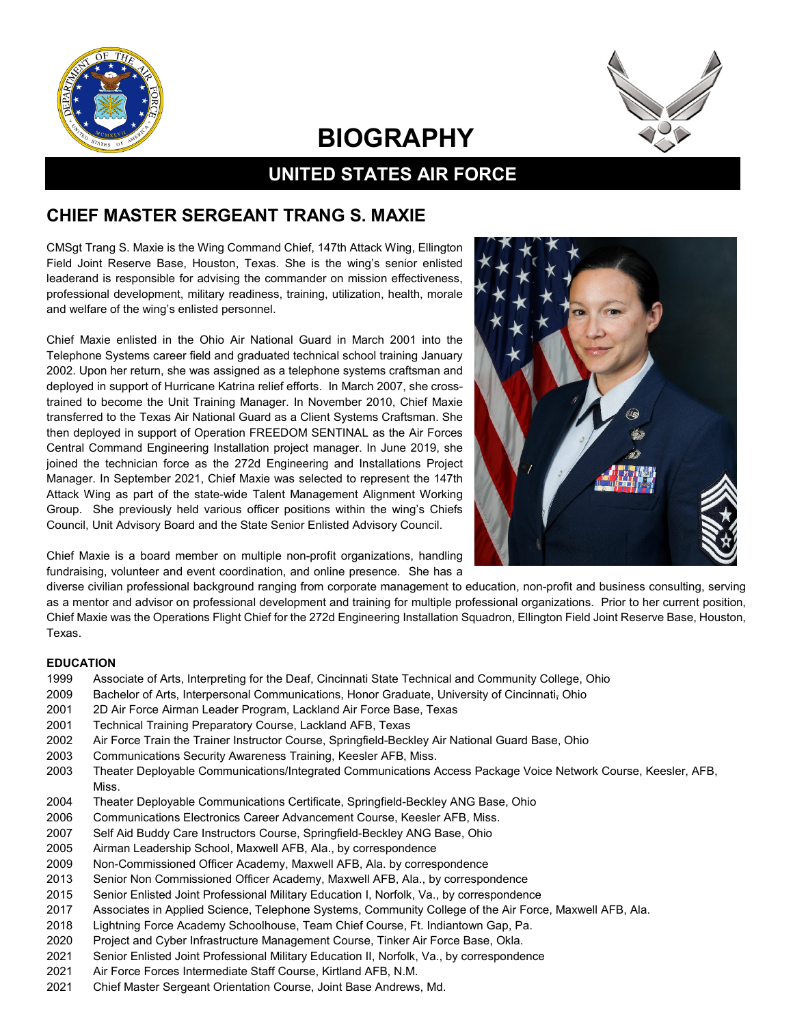



# **BIOGRAPHY**

## **UNITED STATES AIR FORCE**

### **CHIEF MASTER SERGEANT TRANG S. MAXIE**

CMSgt Trang S. Maxie is the Wing Command Chief, 147th Attack Wing, Ellington Field Joint Reserve Base, Houston, Texas. She is the wing's senior enlisted leaderand is responsible for advising the commander on mission effectiveness, professional development, military readiness, training, utilization, health, morale and welfare of the wing's enlisted personnel.

Chief Maxie enlisted in the Ohio Air National Guard in March 2001 into the Telephone Systems career field and graduated technical school training January 2002. Upon her return, she was assigned as a telephone systems craftsman and deployed in support of Hurricane Katrina relief efforts. In March 2007, she crosstrained to become the Unit Training Manager. In November 2010, Chief Maxie transferred to the Texas Air National Guard as a Client Systems Craftsman. She then deployed in support of Operation FREEDOM SENTINAL as the Air Forces Central Command Engineering Installation project manager. In June 2019, she joined the technician force as the 272d Engineering and Installations Project Manager. In September 2021, Chief Maxie was selected to represent the 147th Attack Wing as part of the state-wide Talent Management Alignment Working Group. She previously held various officer positions within the wing's Chiefs Council, Unit Advisory Board and the State Senior Enlisted Advisory Council.



Chief Maxie is a board member on multiple non-profit organizations, handling fundraising, volunteer and event coordination, and online presence. She has a

diverse civilian professional background ranging from corporate management to education, non-profit and business consulting, serving as a mentor and advisor on professional development and training for multiple professional organizations. Prior to her current position, Chief Maxie was the Operations Flight Chief for the 272d Engineering Installation Squadron, Ellington Field Joint Reserve Base, Houston, Texas.

#### **EDUCATION**

- 1999 Associate of Arts, Interpreting for the Deaf, Cincinnati State Technical and Community College, Ohio
- 2009 Bachelor of Arts, Interpersonal Communications, Honor Graduate, University of Cincinnati, Ohio
- 2001 2D Air Force Airman Leader Program, Lackland Air Force Base, Texas
- 2001 Technical Training Preparatory Course, Lackland AFB, Texas
- 2002 Air Force Train the Trainer Instructor Course, Springfield-Beckley Air National Guard Base, Ohio
- 2003 Communications Security Awareness Training, Keesler AFB, Miss.
- 2003 Theater Deployable Communications/Integrated Communications Access Package Voice Network Course, Keesler, AFB, Miss.
- 2004 Theater Deployable Communications Certificate, Springfield-Beckley ANG Base, Ohio
- 2006 Communications Electronics Career Advancement Course, Keesler AFB, Miss.
- 2007 Self Aid Buddy Care Instructors Course, Springfield-Beckley ANG Base, Ohio
- 2005 Airman Leadership School, Maxwell AFB, Ala., by correspondence
- 2009 Non-Commissioned Officer Academy, Maxwell AFB, Ala. by correspondence
- 2013 Senior Non Commissioned Officer Academy, Maxwell AFB, Ala., by correspondence
- 2015 Senior Enlisted Joint Professional Military Education I, Norfolk, Va., by correspondence
- 2017 Associates in Applied Science, Telephone Systems, Community College of the Air Force, Maxwell AFB, Ala.
- 2018 Lightning Force Academy Schoolhouse, Team Chief Course, Ft. Indiantown Gap, Pa.
- 2020 Project and Cyber Infrastructure Management Course, Tinker Air Force Base, Okla.
- 2021 Senior Enlisted Joint Professional Military Education II, Norfolk, Va., by correspondence
- 2021 Air Force Forces Intermediate Staff Course, Kirtland AFB, N.M.
- 2021 Chief Master Sergeant Orientation Course, Joint Base Andrews, Md.